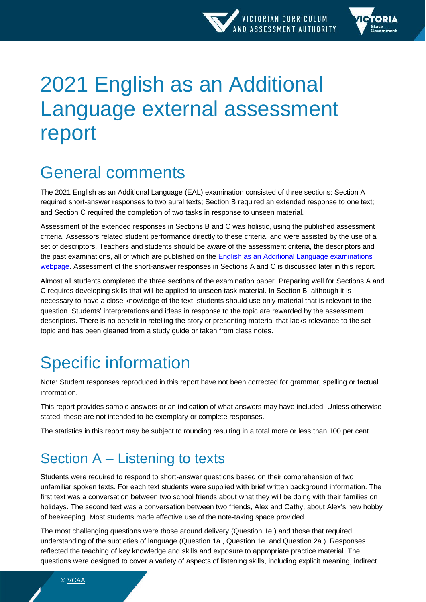

# 2021 English as an Additional Language external assessment report

## General comments

The 2021 English as an Additional Language (EAL) examination consisted of three sections: Section A required short-answer responses to two aural texts; Section B required an extended response to one text; and Section C required the completion of two tasks in response to unseen material.

Assessment of the extended responses in Sections B and C was holistic, using the published assessment criteria. Assessors related student performance directly to these criteria, and were assisted by the use of a set of descriptors. Teachers and students should be aware of the assessment criteria, the descriptors and the past examinations, all of which are published on the [English as an Additional Language examinations](https://www.vcaa.vic.edu.au/assessment/vce-assessment/past-examinations/Pages/English-as-an-Additional-Language.aspx)  [webpage.](https://www.vcaa.vic.edu.au/assessment/vce-assessment/past-examinations/Pages/English-as-an-Additional-Language.aspx) Assessment of the short-answer responses in Sections A and C is discussed later in this report.

Almost all students completed the three sections of the examination paper. Preparing well for Sections A and C requires developing skills that will be applied to unseen task material. In Section B, although it is necessary to have a close knowledge of the text, students should use only material that is relevant to the question. Students' interpretations and ideas in response to the topic are rewarded by the assessment descriptors. There is no benefit in retelling the story or presenting material that lacks relevance to the set topic and has been gleaned from a study guide or taken from class notes.

## Specific information

Note: Student responses reproduced in this report have not been corrected for grammar, spelling or factual information.

This report provides sample answers or an indication of what answers may have included. Unless otherwise stated, these are not intended to be exemplary or complete responses.

The statistics in this report may be subject to rounding resulting in a total more or less than 100 per cent.

## Section A – Listening to texts

Students were required to respond to short-answer questions based on their comprehension of two unfamiliar spoken texts. For each text students were supplied with brief written background information. The first text was a conversation between two school friends about what they will be doing with their families on holidays. The second text was a conversation between two friends, Alex and Cathy, about Alex's new hobby of beekeeping. Most students made effective use of the note-taking space provided.

The most challenging questions were those around delivery (Question 1e.) and those that required understanding of the subtleties of language (Question 1a., Question 1e. and Question 2a.). Responses reflected the teaching of key knowledge and skills and exposure to appropriate practice material. The questions were designed to cover a variety of aspects of listening skills, including explicit meaning, indirect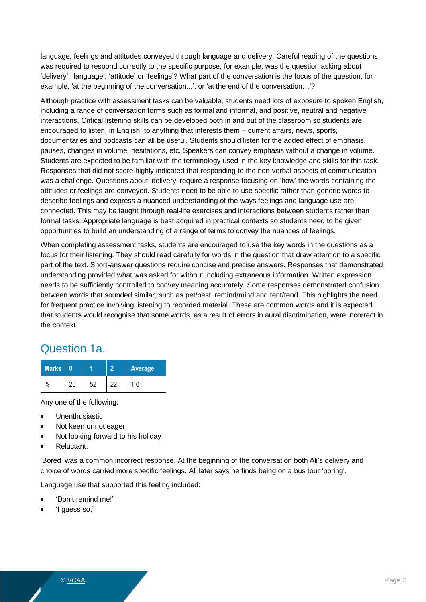language, feelings and attitudes conveyed through language and delivery. Careful reading of the questions was required to respond correctly to the specific purpose, for example, was the question asking about 'delivery', 'language', 'attitude' or 'feelings'? What part of the conversation is the focus of the question, for example, 'at the beginning of the conversation...', or 'at the end of the conversation…'?

Although practice with assessment tasks can be valuable, students need lots of exposure to spoken English, including a range of conversation forms such as formal and informal, and positive, neutral and negative interactions. Critical listening skills can be developed both in and out of the classroom so students are encouraged to listen, in English, to anything that interests them – current affairs, news, sports, documentaries and podcasts can all be useful. Students should listen for the added effect of emphasis, pauses, changes in volume, hesitations, etc. Speakers can convey emphasis without a change in volume. Students are expected to be familiar with the terminology used in the key knowledge and skills for this task. Responses that did not score highly indicated that responding to the non-verbal aspects of communication was a challenge. Questions about 'delivery' require a response focusing on 'how' the words containing the attitudes or feelings are conveyed. Students need to be able to use specific rather than generic words to describe feelings and express a nuanced understanding of the ways feelings and language use are connected. This may be taught through real-life exercises and interactions between students rather than formal tasks. Appropriate language is best acquired in practical contexts so students need to be given opportunities to build an understanding of a range of terms to convey the nuances of feelings.

When completing assessment tasks, students are encouraged to use the key words in the questions as a focus for their listening. They should read carefully for words in the question that draw attention to a specific part of the text. Short-answer questions require concise and precise answers. Responses that demonstrated understanding provided what was asked for without including extraneous information. Written expression needs to be sufficiently controlled to convey meaning accurately. Some responses demonstrated confusion between words that sounded similar, such as pet/pest, remind/mind and tent/tend. This highlights the need for frequent practice involving listening to recorded material. These are common words and it is expected that students would recognise that some words, as a result of errors in aural discrimination, were incorrect in the context.

#### Question 1a.

| <b>Marks</b> |    |    | <b>Average</b> |
|--------------|----|----|----------------|
| %            | 26 | eη |                |

Any one of the following:

- Unenthusiastic
- Not keen or not eager
- Not looking forward to his holiday
- Reluctant.

'Bored' was a common incorrect response. At the beginning of the conversation both Ali's delivery and choice of words carried more specific feelings. Ali later says he finds being on a bus tour 'boring'.

Language use that supported this feeling included:

- 'Don't remind me!'
- 'I guess so.'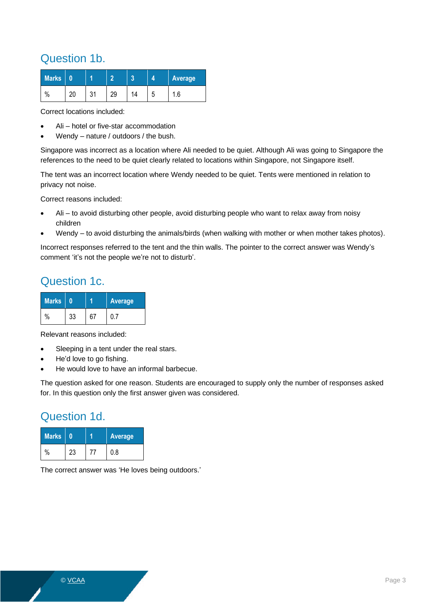#### Question 1b.

| <b>Marks</b>       |    |        |  |        | Average |
|--------------------|----|--------|--|--------|---------|
| $\mathbf{0}$<br>٬٥ | nr | $\sim$ |  | ∽<br>ч | .6،     |

Correct locations included:

- Ali hotel or five-star accommodation
- Wendy nature / outdoors / the bush.

Singapore was incorrect as a location where Ali needed to be quiet. Although Ali was going to Singapore the references to the need to be quiet clearly related to locations within Singapore, not Singapore itself.

The tent was an incorrect location where Wendy needed to be quiet. Tents were mentioned in relation to privacy not noise.

Correct reasons included:

- Ali to avoid disturbing other people, avoid disturbing people who want to relax away from noisy children
- Wendy to avoid disturbing the animals/birds (when walking with mother or when mother takes photos).

Incorrect responses referred to the tent and the thin walls. The pointer to the correct answer was Wendy's comment 'it's not the people we're not to disturb'.

#### Question 1c.

| <b>Marks</b> |    | <b>Average</b> |
|--------------|----|----------------|
| $\%$         | 33 |                |

Relevant reasons included:

- Sleeping in a tent under the real stars.
- He'd love to go fishing.
- He would love to have an informal barbecue.

The question asked for one reason. Students are encouraged to supply only the number of responses asked for. In this question only the first answer given was considered.

#### Question 1d.

| <b>Marks</b> |    | <b>Average</b> |
|--------------|----|----------------|
|              | 23 | 0.8            |

The correct answer was 'He loves being outdoors.'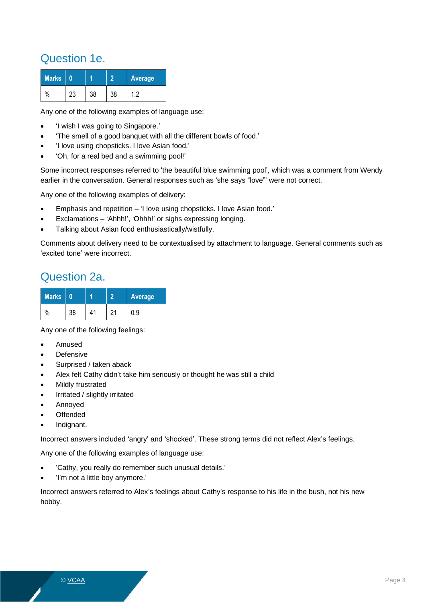#### Question 1e.

| <b>Marks</b> |     |    |    | Average |
|--------------|-----|----|----|---------|
| $\%$         | ∠.⊇ | 38 | 38 | י 1     |

Any one of the following examples of language use:

- 'I wish I was going to Singapore.'
- 'The smell of a good banquet with all the different bowls of food.'
- 'I love using chopsticks. I love Asian food.'
- 'Oh, for a real bed and a swimming pool!'

Some incorrect responses referred to 'the beautiful blue swimming pool', which was a comment from Wendy earlier in the conversation. General responses such as 'she says "love"' were not correct.

Any one of the following examples of delivery:

- Emphasis and repetition 'I love using chopsticks. I love Asian food.'
- Exclamations 'Ahhh!', 'Ohhh!' or sighs expressing longing.
- Talking about Asian food enthusiastically/wistfully.

Comments about delivery need to be contextualised by attachment to language. General comments such as 'excited tone' were incorrect.

#### Question 2a.

| <b>Marks</b> |    |    | <b>Average</b> |
|--------------|----|----|----------------|
| $\%$         | 38 | 11 | .9 ر           |

Any one of the following feelings:

- Amused
- **Defensive**
- Surprised / taken aback
- Alex felt Cathy didn't take him seriously or thought he was still a child
- Mildly frustrated
- Irritated / slightly irritated
- Annoyed
- **Offended**
- Indignant.

Incorrect answers included 'angry' and 'shocked'. These strong terms did not reflect Alex's feelings.

Any one of the following examples of language use:

- 'Cathy, you really do remember such unusual details.'
- 'I'm not a little boy anymore.'

Incorrect answers referred to Alex's feelings about Cathy's response to his life in the bush, not his new hobby.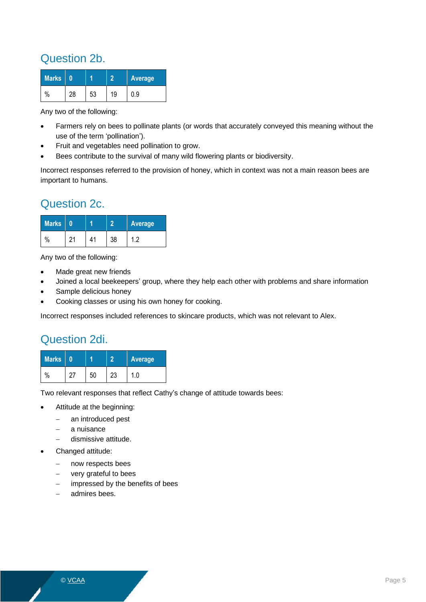#### Question 2b.

| <b>Marks</b>  |    | Average |
|---------------|----|---------|
| $\frac{0}{0}$ | 53 |         |

Any two of the following:

- Farmers rely on bees to pollinate plants (or words that accurately conveyed this meaning without the use of the term 'pollination').
- Fruit and vegetables need pollination to grow.
- Bees contribute to the survival of many wild flowering plants or biodiversity.

Incorrect responses referred to the provision of honey, which in context was not a main reason bees are important to humans.

#### Question 2c.

| <b>Marks</b> |    |    | Average |
|--------------|----|----|---------|
| $\%$         | 11 | 38 | റ       |

Any two of the following:

- Made great new friends
- Joined a local beekeepers' group, where they help each other with problems and share information
- Sample delicious honey
- Cooking classes or using his own honey for cooking.

Incorrect responses included references to skincare products, which was not relevant to Alex.

#### Question 2di.

| <b>Marks</b> |  |    | Average |
|--------------|--|----|---------|
| $\%$         |  | 20 |         |

Two relevant responses that reflect Cathy's change of attitude towards bees:

- Attitude at the beginning:
	- − an introduced pest
	- a nuisance
	- − dismissive attitude.
- Changed attitude:
	- − now respects bees
	- very grateful to bees
	- impressed by the benefits of bees
	- − admires bees.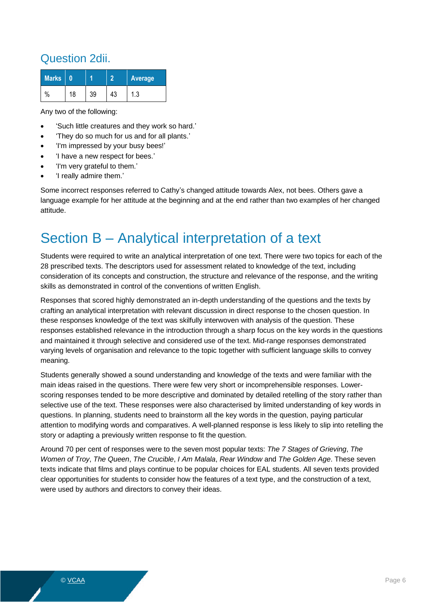#### Question 2dii.

| <b>Marks</b> |    |  | Average |
|--------------|----|--|---------|
| $\%$         | 18 |  | ن.,     |

Any two of the following:

- 'Such little creatures and they work so hard.'
- 'They do so much for us and for all plants.'
- 'I'm impressed by your busy bees!'
- 'I have a new respect for bees.'
- 'I'm very grateful to them.'
- 'I really admire them.'

Some incorrect responses referred to Cathy's changed attitude towards Alex, not bees. Others gave a language example for her attitude at the beginning and at the end rather than two examples of her changed attitude.

### Section B – Analytical interpretation of a text

Students were required to write an analytical interpretation of one text. There were two topics for each of the 28 prescribed texts. The descriptors used for assessment related to knowledge of the text, including consideration of its concepts and construction, the structure and relevance of the response, and the writing skills as demonstrated in control of the conventions of written English.

Responses that scored highly demonstrated an in-depth understanding of the questions and the texts by crafting an analytical interpretation with relevant discussion in direct response to the chosen question. In these responses knowledge of the text was skilfully interwoven with analysis of the question. These responses established relevance in the introduction through a sharp focus on the key words in the questions and maintained it through selective and considered use of the text. Mid-range responses demonstrated varying levels of organisation and relevance to the topic together with sufficient language skills to convey meaning.

Students generally showed a sound understanding and knowledge of the texts and were familiar with the main ideas raised in the questions. There were few very short or incomprehensible responses. Lowerscoring responses tended to be more descriptive and dominated by detailed retelling of the story rather than selective use of the text. These responses were also characterised by limited understanding of key words in questions. In planning, students need to brainstorm all the key words in the question, paying particular attention to modifying words and comparatives. A well-planned response is less likely to slip into retelling the story or adapting a previously written response to fit the question.

Around 70 per cent of responses were to the seven most popular texts: *The 7 Stages of Grieving*, *The Women of Troy*, *The Queen*, *The Crucible*, *I Am Malala*, *Rear Window* and *The Golden Age*. These seven texts indicate that films and plays continue to be popular choices for EAL students. All seven texts provided clear opportunities for students to consider how the features of a text type, and the construction of a text, were used by authors and directors to convey their ideas.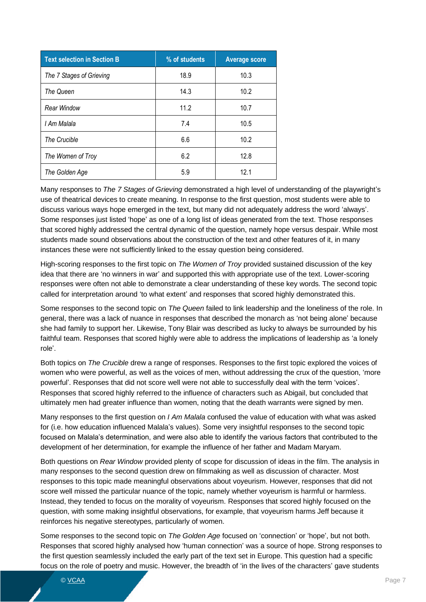| <b>Text selection in Section B</b> | % of students | <b>Average score</b> |
|------------------------------------|---------------|----------------------|
| The 7 Stages of Grieving           | 18.9          | 10.3                 |
| The Queen                          | 14.3          | 10.2                 |
| Rear Window                        | 11.2          | 10.7                 |
| I Am Malala                        | 7.4           | 10.5                 |
| The Crucible                       | 6.6           | 10.2                 |
| The Women of Troy                  | 6.2           | 12.8                 |
| The Golden Age                     | 5.9           | 12.1                 |

Many responses to *The 7 Stages of Grieving* demonstrated a high level of understanding of the playwright's use of theatrical devices to create meaning. In response to the first question, most students were able to discuss various ways hope emerged in the text, but many did not adequately address the word 'always'. Some responses just listed 'hope' as one of a long list of ideas generated from the text. Those responses that scored highly addressed the central dynamic of the question, namely hope versus despair. While most students made sound observations about the construction of the text and other features of it, in many instances these were not sufficiently linked to the essay question being considered.

High-scoring responses to the first topic on *The Women of Troy* provided sustained discussion of the key idea that there are 'no winners in war' and supported this with appropriate use of the text. Lower-scoring responses were often not able to demonstrate a clear understanding of these key words. The second topic called for interpretation around 'to what extent' and responses that scored highly demonstrated this.

Some responses to the second topic on *The Queen* failed to link leadership and the loneliness of the role. In general, there was a lack of nuance in responses that described the monarch as 'not being alone' because she had family to support her. Likewise, Tony Blair was described as lucky to always be surrounded by his faithful team. Responses that scored highly were able to address the implications of leadership as 'a lonely role'.

Both topics on *The Crucible* drew a range of responses. Responses to the first topic explored the voices of women who were powerful, as well as the voices of men, without addressing the crux of the question, 'more powerful'. Responses that did not score well were not able to successfully deal with the term 'voices'. Responses that scored highly referred to the influence of characters such as Abigail, but concluded that ultimately men had greater influence than women, noting that the death warrants were signed by men.

Many responses to the first question on *I Am Malala* confused the value of education with what was asked for (i.e. how education influenced Malala's values). Some very insightful responses to the second topic focused on Malala's determination, and were also able to identify the various factors that contributed to the development of her determination, for example the influence of her father and Madam Maryam.

Both questions on *Rear Window* provided plenty of scope for discussion of ideas in the film. The analysis in many responses to the second question drew on filmmaking as well as discussion of character. Most responses to this topic made meaningful observations about voyeurism. However, responses that did not score well missed the particular nuance of the topic, namely whether voyeurism is harmful or harmless. Instead, they tended to focus on the morality of voyeurism. Responses that scored highly focused on the question, with some making insightful observations, for example, that voyeurism harms Jeff because it reinforces his negative stereotypes, particularly of women.

Some responses to the second topic on *The Golden Age* focused on 'connection' or 'hope', but not both. Responses that scored highly analysed how 'human connection' was a source of hope. Strong responses to the first question seamlessly included the early part of the text set in Europe. This question had a specific focus on the role of poetry and music. However, the breadth of 'in the lives of the characters' gave students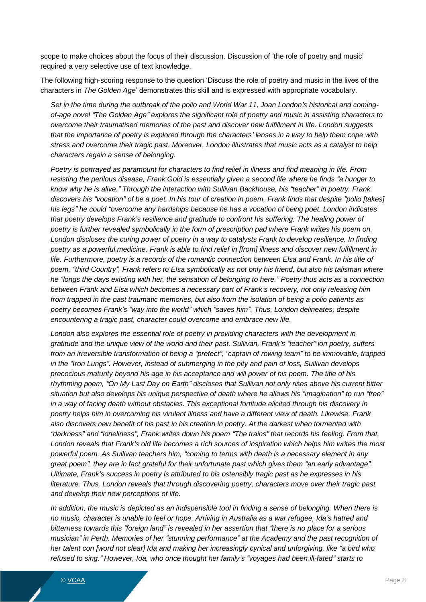scope to make choices about the focus of their discussion. Discussion of 'the role of poetry and music' required a very selective use of text knowledge.

The following high-scoring response to the question 'Discuss the role of poetry and music in the lives of the characters in *The Golden Age*' demonstrates this skill and is expressed with appropriate vocabulary.

*Set in the time during the outbreak of the polio and World War 11, Joan London's historical and comingof-age novel "The Golden Age" explores the significant role of poetry and music in assisting characters to overcome their traumatised memories of the past and discover new fulfillment in life. London suggests that the importance of poetry is explored through the characters' lenses in a way to help them cope with stress and overcome their tragic past. Moreover, London illustrates that music acts as a catalyst to help characters regain a sense of belonging.*

*Poetry is portrayed as paramount for characters to find relief in illness and find meaning in life. From resisting the perilous disease, Frank Gold is essentially given a second life where he finds "a hunger to know why he is alive." Through the interaction with Sullivan Backhouse, his "teacher" in poetry. Frank discovers his "vocation" of be a poet. In his tour of creation in poem, Frank finds that despite "polio [takes] his legs" he could "overcome any hardships because he has a vocation of being poet. London indicates* that poetry develops Frank's resilience and gratitude to confront his suffering. The healing power of *poetry is further revealed symbolically in the form of prescription pad where Frank writes his poem on. London discloses the curing power of poetry in a way to catalysts Frank to develop resilience. In finding poetry as a powerful medicine, Frank is able to find relief in [from] illness and discover new fulfillment in life. Furthermore, poetry is a records of the romantic connection between Elsa and Frank. In his title of poem, "third Country", Frank refers to Elsa symbolically as not only his friend, but also his talisman where he "longs the days existing with her, the sensation of belonging to here." Poetry thus acts as a connection between Frank and Elsa which becomes a necessary part of Frank's recovery, not only releasing him from trapped in the past traumatic memories, but also from the isolation of being a polio patients as poetry becomes Frank's "way into the world" which "saves him". Thus. London delineates, despite encountering a tragic past, character could overcome and embrace new life.*

*London also explores the essential role of poetry in providing characters with the development in gratitude and the unique view of the world and their past. Sullivan, Frank's "teacher" ion poetry, suffers from an irreversible transformation of being a "prefect", "captain of rowing team" to be immovable, trapped in the "Iron Lungs". However, instead of submerging in the pity and pain of loss, Sullivan develops precocious maturity beyond his age in his acceptance and will power of his poem. The title of his rhythming poem, "On My Last Day on Earth" discloses that Sullivan not only rises above his current bitter situation but also develops his unique perspective of death where he allows his "imagination" to run "free" in a way of facing death without obstacles. This exceptional fortitude elicited through his discovery in poetry helps him in overcoming his virulent illness and have a different view of death. Likewise, Frank also discovers new benefit of his past in his creation in poetry. At the darkest when tormented with "darkness" and "loneliness", Frank writes down his poem "The trains" that records his feeling. From that, London reveals that Frank's old life becomes a rich sources of inspiration which helps him writes the most powerful poem. As Sullivan teachers him, "coming to terms with death is a necessary element in any great poem", they are in fact grateful for their unfortunate past which gives them "an early advantage". Ultimate, Frank's success in poetry is attributed to his ostensibly tragic past as he expresses in his literature. Thus, London reveals that through discovering poetry, characters move over their tragic past and develop their new perceptions of life.*

*In addition, the music is depicted as an indispensible tool in finding a sense of belonging. When there is no music, character is unable to feel or hope. Arriving in Australia as a war refugee, Ida's hatred and bitterness towards this "foreign land" is revealed in her assertion that "there is no place for a serious musician" in Perth. Memories of her "stunning performance" at the Academy and the past recognition of her talent con [word not clear] Ida and making her increasingly cynical and unforgiving, like "a bird who refused to sing." However, Ida, who once thought her family's "voyages had been ill-fated" starts to*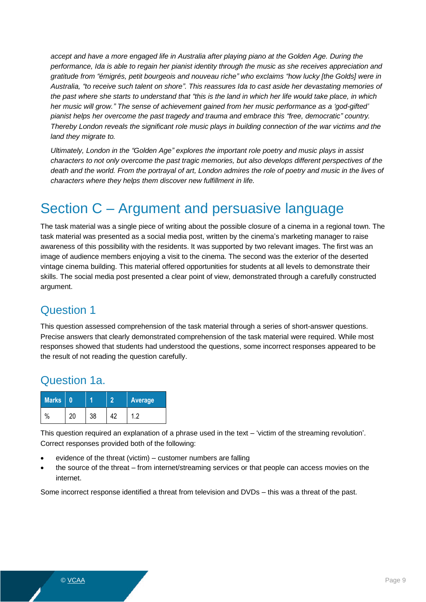*accept and have a more engaged life in Australia after playing piano at the Golden Age. During the performance, Ida is able to regain her pianist identity through the music as she receives appreciation and gratitude from "émigrés, petit bourgeois and nouveau riche" who exclaims "how lucky [the Golds] were in Australia, "to receive such talent on shore". This reassures Ida to cast aside her devastating memories of the past where she starts to understand that "this is the land in which her life would take place, in which her music will grow." The sense of achievement gained from her music performance as a 'god-gifted' pianist helps her overcome the past tragedy and trauma and embrace this "free, democratic" country. Thereby London reveals the significant role music plays in building connection of the war victims and the land they migrate to.*

*Ultimately, London in the "Golden Age" explores the important role poetry and music plays in assist characters to not only overcome the past tragic memories, but also develops different perspectives of the death and the world. From the portrayal of art, London admires the role of poetry and music in the lives of characters where they helps them discover new fulfillment in life.*

### Section C – Argument and persuasive language

The task material was a single piece of writing about the possible closure of a cinema in a regional town. The task material was presented as a social media post, written by the cinema's marketing manager to raise awareness of this possibility with the residents. It was supported by two relevant images. The first was an image of audience members enjoying a visit to the cinema. The second was the exterior of the deserted vintage cinema building. This material offered opportunities for students at all levels to demonstrate their skills. The social media post presented a clear point of view, demonstrated through a carefully constructed argument.

#### Question 1

This question assessed comprehension of the task material through a series of short-answer questions. Precise answers that clearly demonstrated comprehension of the task material were required. While most responses showed that students had understood the questions, some incorrect responses appeared to be the result of not reading the question carefully.

#### Question 1a.

| <b>Marks</b> |    | <b>Average</b> |
|--------------|----|----------------|
| $\%$         | 38 | ാ              |

This question required an explanation of a phrase used in the text – 'victim of the streaming revolution'. Correct responses provided both of the following:

- evidence of the threat (victim) customer numbers are falling
- the source of the threat from internet/streaming services or that people can access movies on the internet.

Some incorrect response identified a threat from television and DVDs – this was a threat of the past.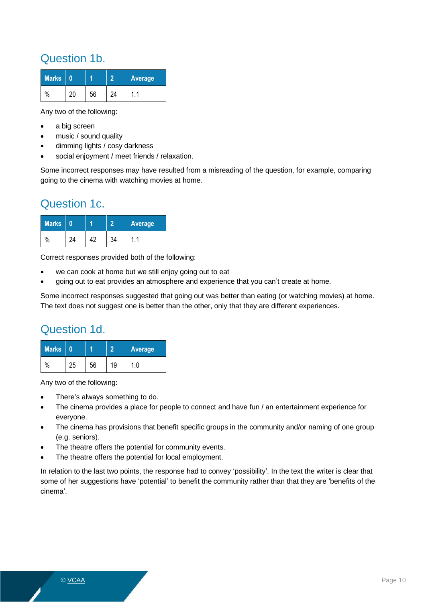#### Question 1b.

| <b>Marks</b> |  |    | <b>Average</b> |  |  |
|--------------|--|----|----------------|--|--|
| $\%$         |  | 2Δ |                |  |  |

Any two of the following:

- a big screen
- music / sound quality
- dimming lights / cosy darkness
- social enjoyment / meet friends / relaxation.

Some incorrect responses may have resulted from a misreading of the question, for example, comparing going to the cinema with watching movies at home.

#### Question 1c.

| <b>Marks</b> |    | Average |  |  |
|--------------|----|---------|--|--|
| $\%$         | ΛΟ |         |  |  |

Correct responses provided both of the following:

- we can cook at home but we still enjoy going out to eat
- going out to eat provides an atmosphere and experience that you can't create at home.

Some incorrect responses suggested that going out was better than eating (or watching movies) at home. The text does not suggest one is better than the other, only that they are different experiences.

#### Question 1d.

| <b>Marks</b> |    |    |    | Average |
|--------------|----|----|----|---------|
| $\%$         | 25 | 56 | 19 |         |

Any two of the following:

- There's always something to do.
- The cinema provides a place for people to connect and have fun / an entertainment experience for everyone.
- The cinema has provisions that benefit specific groups in the community and/or naming of one group (e.g. seniors).
- The theatre offers the potential for community events.
- The theatre offers the potential for local employment.

In relation to the last two points, the response had to convey 'possibility'. In the text the writer is clear that some of her suggestions have 'potential' to benefit the community rather than that they are 'benefits of the cinema'.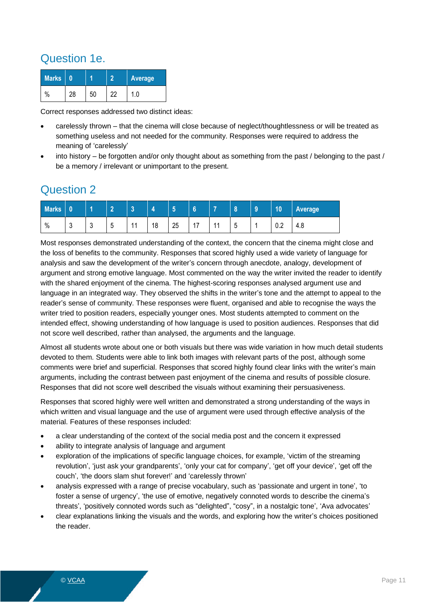#### Question 1e.

| Marks |    |  | Average  |  |  |
|-------|----|--|----------|--|--|
| $\%$  | סכ |  | $\Omega$ |  |  |

Correct responses addressed two distinct ideas:

- carelessly thrown that the cinema will close because of neglect/thoughtlessness or will be treated as something useless and not needed for the community. Responses were required to address the meaning of 'carelessly'
- into history be forgotten and/or only thought about as something from the past / belonging to the past / be a memory / irrelevant or unimportant to the present.

#### Question 2

| <b>Marks</b> |             | z            | $\sim$<br>. . | <b>COL</b>     | 4  | 云<br>∾ | $\mathbf{a}$<br>.u | -                     | $\bullet$<br>ю | $\overline{9}$ | 10  | Average |
|--------------|-------------|--------------|---------------|----------------|----|--------|--------------------|-----------------------|----------------|----------------|-----|---------|
| $\%$         | $\sim$<br>J | $\sim$<br>ັບ | -<br>∽<br>ັ   | $\overline{A}$ | 18 | 25     | $4 -$<br>. .       | 4 <sub>4</sub><br>. . | -<br>∽<br>ັ    |                | 0.2 | 4.8     |

Most responses demonstrated understanding of the context, the concern that the cinema might close and the loss of benefits to the community. Responses that scored highly used a wide variety of language for analysis and saw the development of the writer's concern through anecdote, analogy, development of argument and strong emotive language. Most commented on the way the writer invited the reader to identify with the shared enjoyment of the cinema. The highest-scoring responses analysed argument use and language in an integrated way. They observed the shifts in the writer's tone and the attempt to appeal to the reader's sense of community. These responses were fluent, organised and able to recognise the ways the writer tried to position readers, especially younger ones. Most students attempted to comment on the intended effect, showing understanding of how language is used to position audiences. Responses that did not score well described, rather than analysed, the arguments and the language.

Almost all students wrote about one or both visuals but there was wide variation in how much detail students devoted to them. Students were able to link both images with relevant parts of the post, although some comments were brief and superficial. Responses that scored highly found clear links with the writer's main arguments, including the contrast between past enjoyment of the cinema and results of possible closure. Responses that did not score well described the visuals without examining their persuasiveness.

Responses that scored highly were well written and demonstrated a strong understanding of the ways in which written and visual language and the use of argument were used through effective analysis of the material. Features of these responses included:

- a clear understanding of the context of the social media post and the concern it expressed
- ability to integrate analysis of language and argument
- exploration of the implications of specific language choices, for example, 'victim of the streaming revolution', 'just ask your grandparents', 'only your cat for company', 'get off your device', 'get off the couch', 'the doors slam shut forever!' and 'carelessly thrown'
- analysis expressed with a range of precise vocabulary, such as 'passionate and urgent in tone', 'to foster a sense of urgency', 'the use of emotive, negatively connoted words to describe the cinema's threats', 'positively connoted words such as "delighted", "cosy", in a nostalgic tone', 'Ava advocates'
- clear explanations linking the visuals and the words, and exploring how the writer's choices positioned the reader.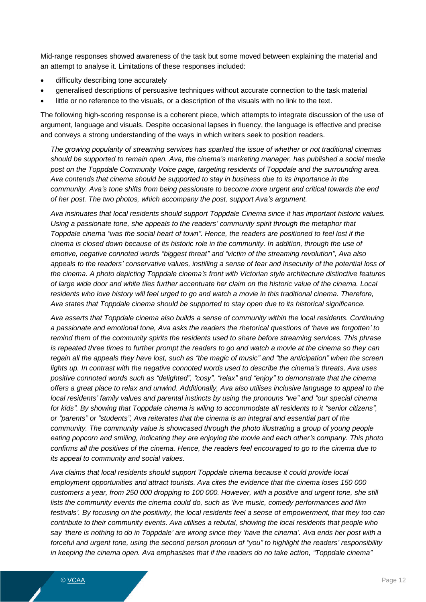Mid-range responses showed awareness of the task but some moved between explaining the material and an attempt to analyse it. Limitations of these responses included:

- difficulty describing tone accurately
- generalised descriptions of persuasive techniques without accurate connection to the task material
- little or no reference to the visuals, or a description of the visuals with no link to the text.

The following high-scoring response is a coherent piece, which attempts to integrate discussion of the use of argument, language and visuals. Despite occasional lapses in fluency, the language is effective and precise and conveys a strong understanding of the ways in which writers seek to position readers.

*The growing popularity of streaming services has sparked the issue of whether or not traditional cinemas should be supported to remain open. Ava, the cinema's marketing manager, has published a social media post on the Toppdale Community Voice page, targeting residents of Toppdale and the surrounding area. Ava contends that cinema should be supported to stay in business due to its importance in the community. Ava's tone shifts from being passionate to become more urgent and critical towards the end of her post. The two photos, which accompany the post, support Ava's argument.*

*Ava insinuates that local residents should support Toppdale Cinema since it has important historic values. Using a passionate tone, she appeals to the readers' community spirit through the metaphor that Toppdale cinema "was the social heart of town". Hence, the readers are positioned to feel lost if the cinema is closed down because of its historic role in the community. In addition, through the use of emotive, negative connoted words "biggest threat" and "victim of the streaming revolution", Ava also appeals to the readers' conservative values, instilling a sense of fear and insecurity of the potential loss of the cinema. A photo depicting Toppdale cinema's front with Victorian style architecture distinctive features of large wide door and white tiles further accentuate her claim on the historic value of the cinema. Local residents who love history will feel urged to go and watch a movie in this traditional cinema. Therefore, Ava states that Toppdale cinema should be supported to stay open due to its historical significance.*

*Ava asserts that Toppdale cinema also builds a sense of community within the local residents. Continuing a passionate and emotional tone, Ava asks the readers the rhetorical questions of 'have we forgotten' to remind them of the community spirits the residents used to share before streaming services. This phrase is repeated three times to further prompt the readers to go and watch a movie at the cinema so they can regain all the appeals they have lost, such as "the magic of music" and "the anticipation" when the screen lights up. In contrast with the negative connoted words used to describe the cinema's threats, Ava uses positive connoted words such as "delighted", "cosy", "relax" and "enjoy" to demonstrate that the cinema offers a great place to relax and unwind. Additionally, Ava also utilises inclusive language to appeal to the local residents' family values and parental instincts by using the pronouns "we" and "our special cinema for kids". By showing that Toppdale cinema is wiling to accommodate all residents to it "senior citizens", or "parents" or "students", Ava reiterates that the cinema is an integral and essential part of the community. The community value is showcased through the photo illustrating a group of young people eating popcorn and smiling, indicating they are enjoying the movie and each other's company. This photo confirms all the positives of the cinema. Hence, the readers feel encouraged to go to the cinema due to its appeal to community and social values.*

*Ava claims that local residents should support Toppdale cinema because it could provide local employment opportunities and attract tourists. Ava cites the evidence that the cinema loses 150 000 customers a year, from 250 000 dropping to 100 000. However, with a positive and urgent tone, she still lists the community events the cinema could do, such as 'live music, comedy performances and film festivals'. By focusing on the positivity, the local residents feel a sense of empowerment, that they too can contribute to their community events. Ava utilises a rebutal, showing the local residents that people who say 'there is nothing to do in Toppdale' are wrong since they 'have the cinema'. Ava ends her post with a forceful and urgent tone, using the second person pronoun of "you" to highlight the readers' responsibility in keeping the cinema open. Ava emphasises that if the readers do no take action, "Toppdale cinema"*